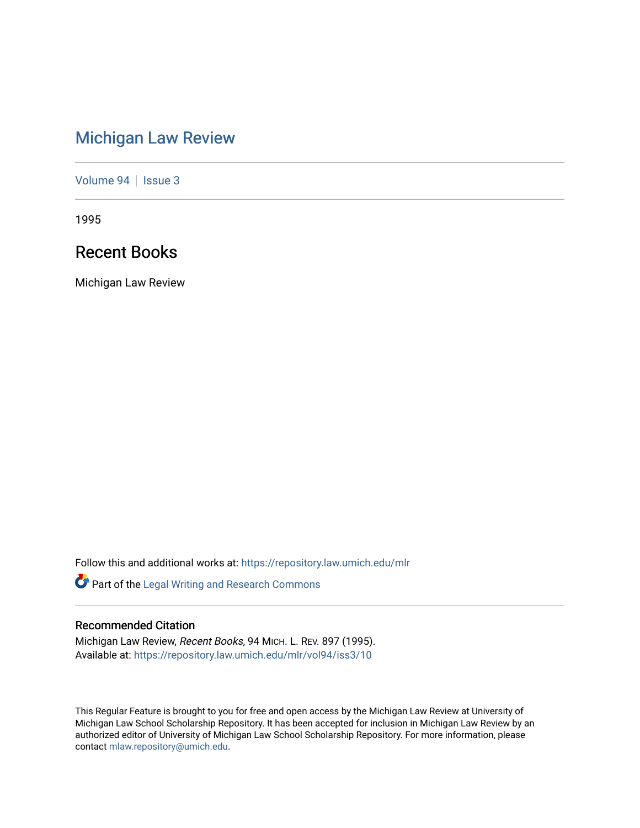# [Michigan Law Review](https://repository.law.umich.edu/mlr)

[Volume 94](https://repository.law.umich.edu/mlr/vol94) | [Issue 3](https://repository.law.umich.edu/mlr/vol94/iss3)

1995

# Recent Books

Michigan Law Review

Follow this and additional works at: [https://repository.law.umich.edu/mlr](https://repository.law.umich.edu/mlr?utm_source=repository.law.umich.edu%2Fmlr%2Fvol94%2Fiss3%2F10&utm_medium=PDF&utm_campaign=PDFCoverPages) 

Part of the [Legal Writing and Research Commons](http://network.bepress.com/hgg/discipline/614?utm_source=repository.law.umich.edu%2Fmlr%2Fvol94%2Fiss3%2F10&utm_medium=PDF&utm_campaign=PDFCoverPages) 

# Recommended Citation

Michigan Law Review, Recent Books, 94 MICH. L. REV. 897 (1995). Available at: [https://repository.law.umich.edu/mlr/vol94/iss3/10](https://repository.law.umich.edu/mlr/vol94/iss3/10?utm_source=repository.law.umich.edu%2Fmlr%2Fvol94%2Fiss3%2F10&utm_medium=PDF&utm_campaign=PDFCoverPages) 

This Regular Feature is brought to you for free and open access by the Michigan Law Review at University of Michigan Law School Scholarship Repository. It has been accepted for inclusion in Michigan Law Review by an authorized editor of University of Michigan Law School Scholarship Repository. For more information, please contact [mlaw.repository@umich.edu](mailto:mlaw.repository@umich.edu).